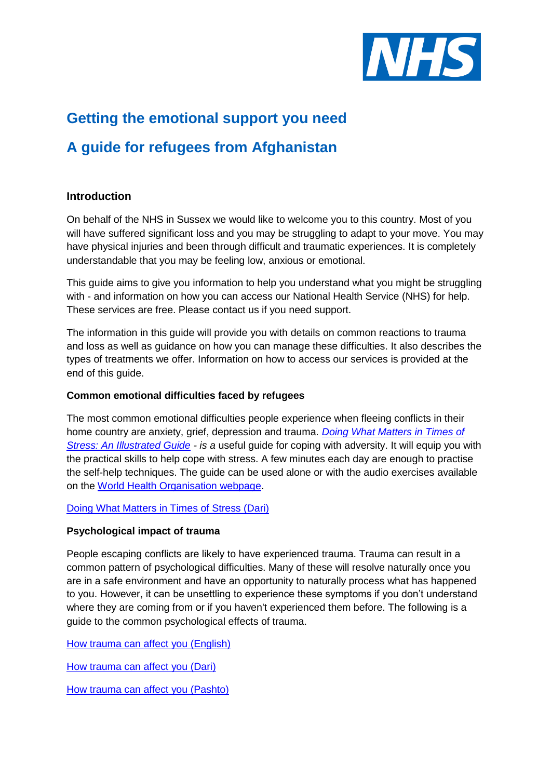

# **Getting the emotional support you need**

# **A guide for refugees from Afghanistan**

# **Introduction**

On behalf of the NHS in Sussex we would like to welcome you to this country. Most of you will have suffered significant loss and you may be struggling to adapt to your move. You may have physical injuries and been through difficult and traumatic experiences. It is completely understandable that you may be feeling low, anxious or emotional.

This guide aims to give you information to help you understand what you might be struggling with - and information on how you can access our National Health Service (NHS) for help. These services are free. Please contact us if you need support.

The information in this guide will provide you with details on common reactions to trauma and loss as well as guidance on how you can manage these difficulties. It also describes the types of treatments we offer. Information on how to access our services is provided at the end of this guide.

## **Common emotional difficulties faced by refugees**

The most common emotional difficulties people experience when fleeing conflicts in their home country are anxiety, grief, depression and trauma. *Doing [What Matters in Times of](https://www.sussexpartnership.nhs.uk/node/7606/attachment)*  **[Stress: An Illustrated Guide](https://www.sussexpartnership.nhs.uk/node/7606/attachment)** - is a useful guide for coping with adversity. It will equip you with the practical skills to help cope with stress. A few minutes each day are enough to practise the self-help techniques. The guide can be used alone or with the audio exercises available on the [World Health Organisation webpage.](https://www.who.int/publications/i/item/9789240003927)

## [Doing What Matters in Times of Stress \(Dari\)](https://www.sussexpartnership.nhs.uk/node/7607/attachment)

#### **Psychological impact of trauma**

People escaping conflicts are likely to have experienced trauma. Trauma can result in a common pattern of psychological difficulties. Many of these will resolve naturally once you are in a safe environment and have an opportunity to naturally process what has happened to you. However, it can be unsettling to experience these symptoms if you don't understand where they are coming from or if you haven't experienced them before. The following is a guide to the common psychological effects of trauma.

[How trauma can affect you \(English\)](https://www.sussexpartnership.nhs.uk/node/7586/attachment)

[How trauma can affect you \(Dari\)](https://www.sussexpartnership.nhs.uk/node/7595/attachment)

[How trauma can affect you \(Pashto\)](https://www.sussexpartnership.nhs.uk/node/7596/attachment)